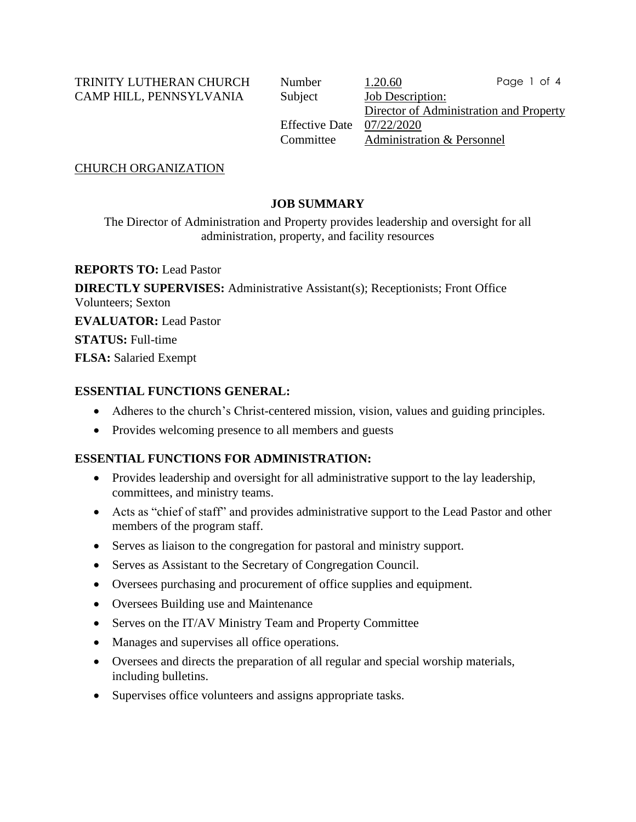TRINITY LUTHERAN CHURCH Number 1.20.60 CAMP HILL, PENNSYLVANIA Subject Job Description:

Director of Administration and Property Effective Date 07/22/2020 Committee Administration & Personnel Page 1 of 4

CHURCH ORGANIZATION

# **JOB SUMMARY**

The Director of Administration and Property provides leadership and oversight for all administration, property, and facility resources

**REPORTS TO:** Lead Pastor

**DIRECTLY SUPERVISES:** Administrative Assistant(s); Receptionists; Front Office Volunteers; Sexton **EVALUATOR:** Lead Pastor **STATUS:** Full-time **FLSA:** Salaried Exempt

### **ESSENTIAL FUNCTIONS GENERAL:**

- Adheres to the church's Christ-centered mission, vision, values and guiding principles.
- Provides welcoming presence to all members and guests

### **ESSENTIAL FUNCTIONS FOR ADMINISTRATION:**

- Provides leadership and oversight for all administrative support to the lay leadership, committees, and ministry teams.
- Acts as "chief of staff" and provides administrative support to the Lead Pastor and other members of the program staff.
- Serves as liaison to the congregation for pastoral and ministry support.
- Serves as Assistant to the Secretary of Congregation Council.
- Oversees purchasing and procurement of office supplies and equipment.
- Oversees Building use and Maintenance
- Serves on the IT/AV Ministry Team and Property Committee
- Manages and supervises all office operations.
- Oversees and directs the preparation of all regular and special worship materials, including bulletins.
- Supervises office volunteers and assigns appropriate tasks.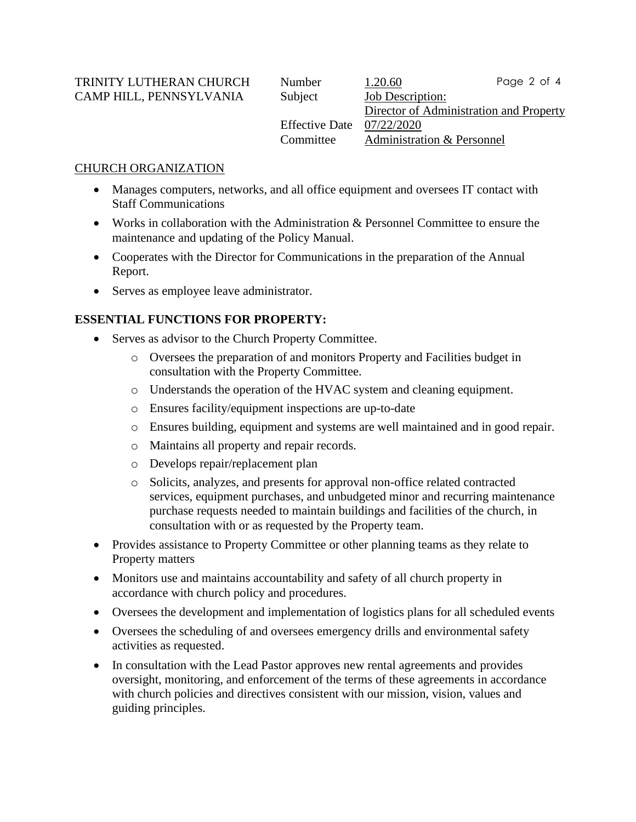TRINITY LUTHERAN CHURCH Number 1.20.60 CAMP HILL, PENNSYLVANIA Subject Job Description:

Director of Administration and Property Effective Date 07/22/2020 Committee Administration & Personnel Page 2 of 4

### CHURCH ORGANIZATION

- Manages computers, networks, and all office equipment and oversees IT contact with Staff Communications
- Works in collaboration with the Administration & Personnel Committee to ensure the maintenance and updating of the Policy Manual.
- Cooperates with the Director for Communications in the preparation of the Annual Report.
- Serves as employee leave administrator.

# **ESSENTIAL FUNCTIONS FOR PROPERTY:**

- Serves as advisor to the Church Property Committee.
	- o Oversees the preparation of and monitors Property and Facilities budget in consultation with the Property Committee.
	- o Understands the operation of the HVAC system and cleaning equipment.
	- o Ensures facility/equipment inspections are up-to-date
	- o Ensures building, equipment and systems are well maintained and in good repair.
	- o Maintains all property and repair records.
	- o Develops repair/replacement plan
	- o Solicits, analyzes, and presents for approval non-office related contracted services, equipment purchases, and unbudgeted minor and recurring maintenance purchase requests needed to maintain buildings and facilities of the church, in consultation with or as requested by the Property team.
- Provides assistance to Property Committee or other planning teams as they relate to Property matters
- Monitors use and maintains accountability and safety of all church property in accordance with church policy and procedures.
- Oversees the development and implementation of logistics plans for all scheduled events
- Oversees the scheduling of and oversees emergency drills and environmental safety activities as requested.
- In consultation with the Lead Pastor approves new rental agreements and provides oversight, monitoring, and enforcement of the terms of these agreements in accordance with church policies and directives consistent with our mission, vision, values and guiding principles.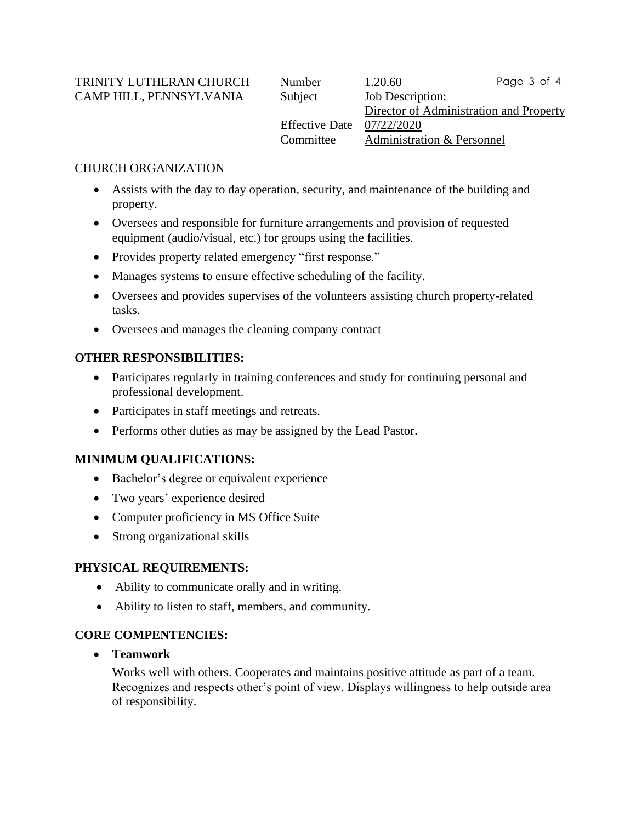TRINITY LUTHERAN CHURCH Number 1.20.60 CAMP HILL, PENNSYLVANIA Subject Job Description:

Director of Administration and Property Effective Date 07/22/2020 Committee Administration & Personnel Page 3 of 4

## CHURCH ORGANIZATION

- Assists with the day to day operation, security, and maintenance of the building and property.
- Oversees and responsible for furniture arrangements and provision of requested equipment (audio/visual, etc.) for groups using the facilities.
- Provides property related emergency "first response."
- Manages systems to ensure effective scheduling of the facility.
- Oversees and provides supervises of the volunteers assisting church property-related tasks.
- Oversees and manages the cleaning company contract

### **OTHER RESPONSIBILITIES:**

- Participates regularly in training conferences and study for continuing personal and professional development.
- Participates in staff meetings and retreats.
- Performs other duties as may be assigned by the Lead Pastor.

### **MINIMUM QUALIFICATIONS:**

- Bachelor's degree or equivalent experience
- Two years' experience desired
- Computer proficiency in MS Office Suite
- Strong organizational skills

### **PHYSICAL REQUIREMENTS:**

- Ability to communicate orally and in writing.
- Ability to listen to staff, members, and community.

### **CORE COMPENTENCIES:**

• **Teamwork**

Works well with others. Cooperates and maintains positive attitude as part of a team. Recognizes and respects other's point of view. Displays willingness to help outside area of responsibility.